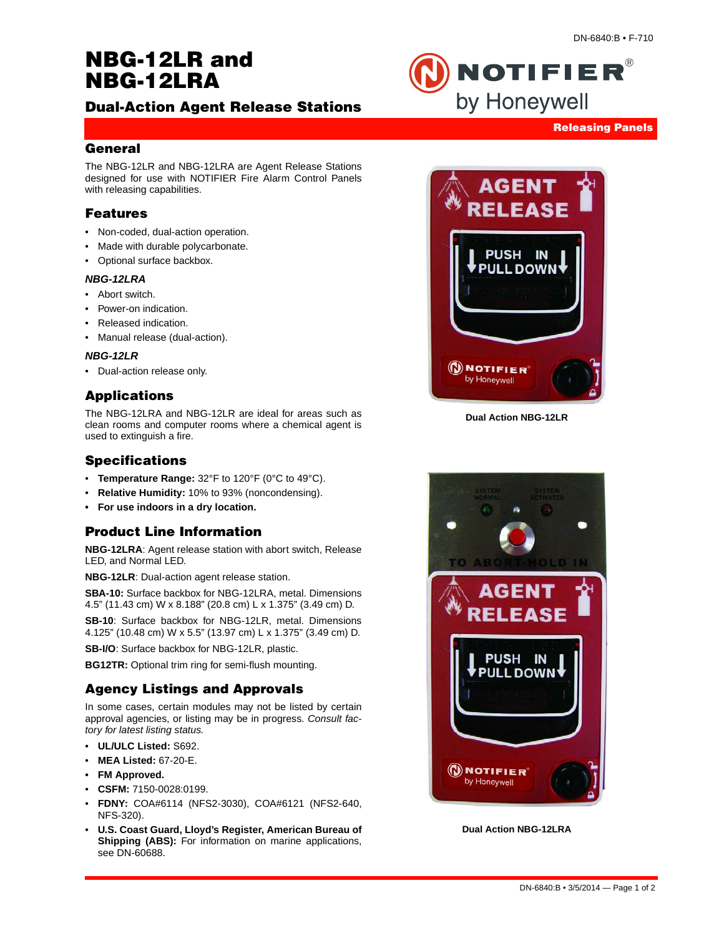# **NBG-12LR and NBG-12LRA**

# **Dual-Action Agent Release Stations**



NOTIFIER®

by Honeywell

#### **General**

The NBG-12LR and NBG-12LRA are Agent Release Stations designed for use with NOTIFIER Fire Alarm Control Panels with releasing capabilities.

#### **Features**

- Non-coded, dual-action operation.
- Made with durable polycarbonate.
- Optional surface backbox.

#### *NBG-12LRA*

- Abort switch.
- Power-on indication.
- Released indication.
- Manual release (dual-action).

#### *NBG-12LR*

• Dual-action release only.

## **Applications**

The NBG-12LRA and NBG-12LR are ideal for areas such as clean rooms and computer rooms where a chemical agent is used to extinguish a fire.

#### **Specifications**

- **Temperature Range:** 32°F to 120°F (0°C to 49°C).
- **Relative Humidity:** 10% to 93% (noncondensing).
- **For use indoors in a dry location.**

## **Product Line Information**

**NBG-12LRA**: Agent release station with abort switch, Release LED, and Normal LED.

**NBG-12LR**: Dual-action agent release station.

**SBA-10:** Surface backbox for NBG-12LRA, metal. Dimensions 4.5" (11.43 cm) W x 8.188" (20.8 cm) L x 1.375" (3.49 cm) D.

**SB-10**: Surface backbox for NBG-12LR, metal. Dimensions 4.125" (10.48 cm) W x 5.5" (13.97 cm) L x 1.375" (3.49 cm) D.

**SB-I/O**: Surface backbox for NBG-12LR, plastic.

**BG12TR:** Optional trim ring for semi-flush mounting.

## **Agency Listings and Approvals**

In some cases, certain modules may not be listed by certain approval agencies, or listing may be in progress. *Consult factory for latest listing status.*

- **UL/ULC Listed:** S692.
- **MEA Listed:** 67-20-E.
- **FM Approved.**
- **CSFM:** 7150-0028:0199.
- **FDNY:** COA#6114 (NFS2-3030), COA#6121 (NFS2-640, NFS-320).
- **U.S. Coast Guard, Lloyd's Register, American Bureau of Shipping (ABS):** For information on marine applications, see DN-60688.



**Dual Action NBG-12LR**



**Dual Action NBG-12LRA**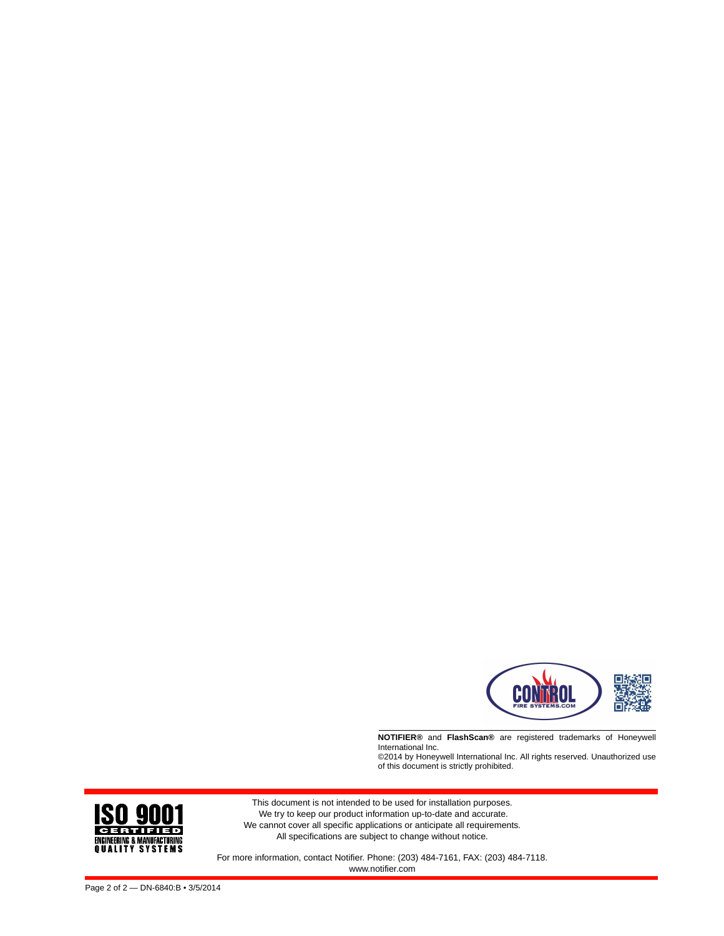

**NOTIFIER®** and **FlashScan®** are registered trademarks of Honeywell International Inc. ©2014 by Honeywell International Inc. All rights reserved. Unauthorized use

of this document is strictly prohibited.



For more information, contact Notifier. Phone: (203) 484-7161, FAX: (203) 484-7118. www.notifier.com

**ISO 900 CERTIFIED** ENGINEERING & MANUFACTURING<br>Q U A L I T Y S Y S T E M S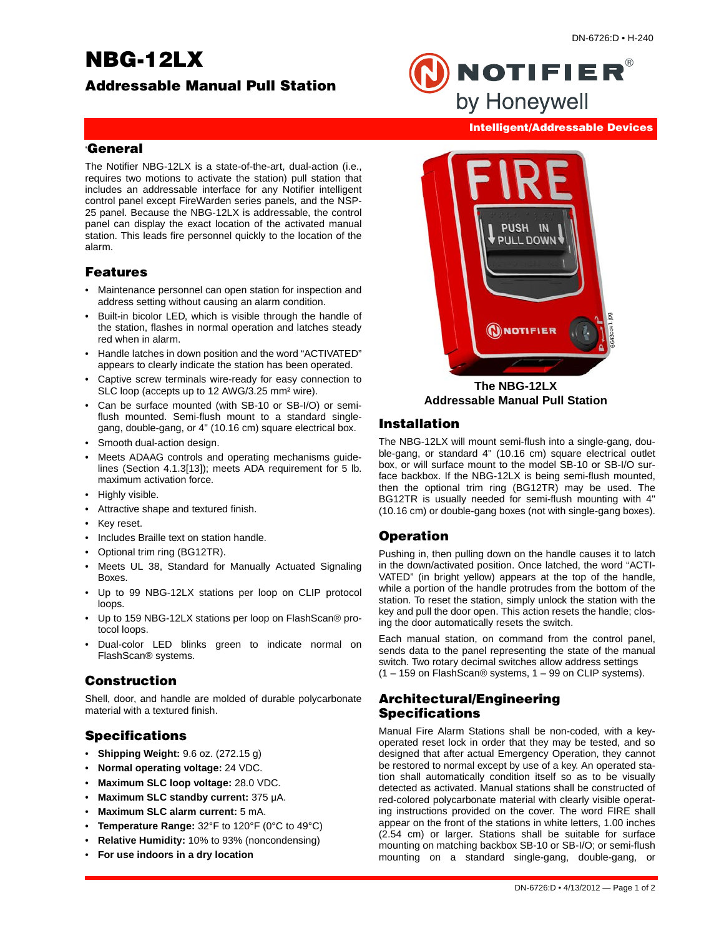# **NBG-12LX**

**Intelligent/Addressable Devices**

**NOTIFIER®** 

by Honeywell

#### '**General**

The Notifier NBG-12LX is a state-of-the-art, dual-action (i.e., requires two motions to activate the station) pull station that includes an addressable interface for any Notifier intelligent control panel except FireWarden series panels, and the NSP-25 panel. Because the NBG-12LX is addressable, the control panel can display the exact location of the activated manual station. This leads fire personnel quickly to the location of the alarm.

#### **Features**

- Maintenance personnel can open station for inspection and address setting without causing an alarm condition.
- Built-in bicolor LED, which is visible through the handle of the station, flashes in normal operation and latches steady red when in alarm.
- Handle latches in down position and the word "ACTIVATED" appears to clearly indicate the station has been operated.
- Captive screw terminals wire-ready for easy connection to SLC loop (accepts up to 12 AWG/3.25 mm² wire).
- Can be surface mounted (with SB-10 or SB-I/O) or semiflush mounted. Semi-flush mount to a standard singlegang, double-gang, or 4" (10.16 cm) square electrical box.
- Smooth dual-action design.
- Meets ADAAG controls and operating mechanisms guidelines (Section 4.1.3[13]); meets ADA requirement for 5 lb. maximum activation force.
- Highly visible.
- Attractive shape and textured finish.
- Key reset.
- Includes Braille text on station handle.
- Optional trim ring (BG12TR).
- Meets UL 38, Standard for Manually Actuated Signaling Boxes.
- Up to 99 NBG-12LX stations per loop on CLIP protocol loops.
- Up to 159 NBG-12LX stations per loop on FlashScan® protocol loops.
- Dual-color LED blinks green to indicate normal on FlashScan® systems.

#### **Construction**

Shell, door, and handle are molded of durable polycarbonate material with a textured finish.

## **Specifications**

- **Shipping Weight:** 9.6 oz. (272.15 g)
- **Normal operating voltage:** 24 VDC.
- **Maximum SLC loop voltage:** 28.0 VDC.
- **Maximum SLC standby current:** 375 μA.
- **Maximum SLC alarm current:** 5 mA.
- **Temperature Range:** 32°F to 120°F (0°C to 49°C)
- **Relative Humidity:** 10% to 93% (noncondensing)
- **For use indoors in a dry location**



**The NBG-12LX Addressable Manual Pull Station**

## **Installation**

The NBG-12LX will mount semi-flush into a single-gang, double-gang, or standard 4" (10.16 cm) square electrical outlet box, or will surface mount to the model SB-10 or SB-I/O surface backbox. If the NBG-12LX is being semi-flush mounted, then the optional trim ring (BG12TR) may be used. The BG12TR is usually needed for semi-flush mounting with 4" (10.16 cm) or double-gang boxes (not with single-gang boxes).

## **Operation**

Pushing in, then pulling down on the handle causes it to latch in the down/activated position. Once latched, the word "ACTI-VATED" (in bright yellow) appears at the top of the handle, while a portion of the handle protrudes from the bottom of the station. To reset the station, simply unlock the station with the key and pull the door open. This action resets the handle; closing the door automatically resets the switch.

Each manual station, on command from the control panel, sends data to the panel representing the state of the manual switch. Two rotary decimal switches allow address settings  $(1 - 159$  on FlashScan® systems,  $1 - 99$  on CLIP systems).

#### **Architectural/Engineering Specifications**

Manual Fire Alarm Stations shall be non-coded, with a keyoperated reset lock in order that they may be tested, and so designed that after actual Emergency Operation, they cannot be restored to normal except by use of a key. An operated station shall automatically condition itself so as to be visually detected as activated. Manual stations shall be constructed of red-colored polycarbonate material with clearly visible operating instructions provided on the cover. The word FIRE shall appear on the front of the stations in white letters, 1.00 inches (2.54 cm) or larger. Stations shall be suitable for surface mounting on matching backbox SB-10 or SB-I/O; or semi-flush mounting on a standard single-gang, double-gang, or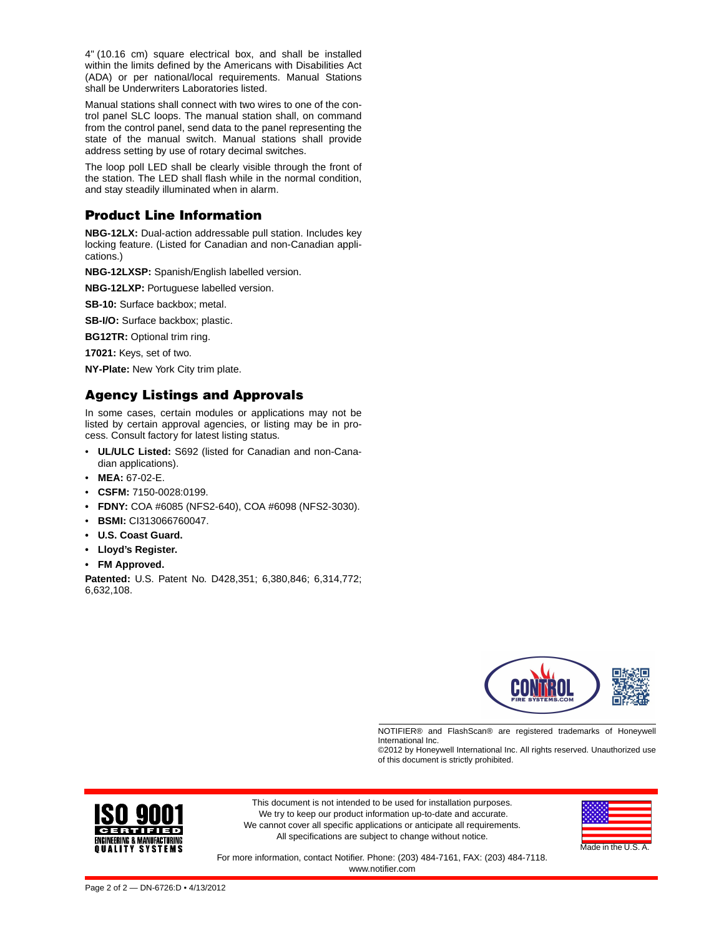4" (10.16 cm) square electrical box, and shall be installed within the limits defined by the Americans with Disabilities Act (ADA) or per national/local requirements. Manual Stations shall be Underwriters Laboratories listed.

Manual stations shall connect with two wires to one of the control panel SLC loops. The manual station shall, on command from the control panel, send data to the panel representing the state of the manual switch. Manual stations shall provide address setting by use of rotary decimal switches.

The loop poll LED shall be clearly visible through the front of the station. The LED shall flash while in the normal condition, and stay steadily illuminated when in alarm.

# **Product Line Information**

**NBG-12LX:** Dual-action addressable pull station. Includes key locking feature. (Listed for Canadian and non-Canadian applications.)

**NBG-12LXSP:** Spanish/English labelled version.

**NBG-12LXP:** Portuguese labelled version.

**SB-10:** Surface backbox; metal.

**SB-I/O:** Surface backbox; plastic.

**BG12TR:** Optional trim ring.

**17021:** Keys, set of two.

**NY-Plate:** New York City trim plate.

## **Agency Listings and Approvals**

In some cases, certain modules or applications may not be listed by certain approval agencies, or listing may be in process. Consult factory for latest listing status.

- **UL/ULC Listed:** S692 (listed for Canadian and non-Canadian applications).
- **MEA:** 67-02-E.
- **CSFM:** 7150-0028:0199.
- **FDNY:** COA #6085 (NFS2-640), COA #6098 (NFS2-3030).
- **BSMI:** CI313066760047.
- **U.S. Coast Guard.**
- **• Lloyd's Register.**
- **FM Approved.**

**Patented:** U.S. Patent No. D428,351; 6,380,846; 6,314,772; 6,632,108.



NOTIFIER® and FlashScan® are registered trademarks of Honeywell International Inc.

©2012 by Honeywell International Inc. All rights reserved. Unauthorized use of this document is strictly prohibited.



This document is not intended to be used for installation purposes. We try to keep our product information up-to-date and accurate. We cannot cover all specific applications or anticipate all requirements. All specifications are subject to change without notice.



For more information, contact Notifier. Phone: (203) 484-7161, FAX: (203) 484-7118. www.notifier.com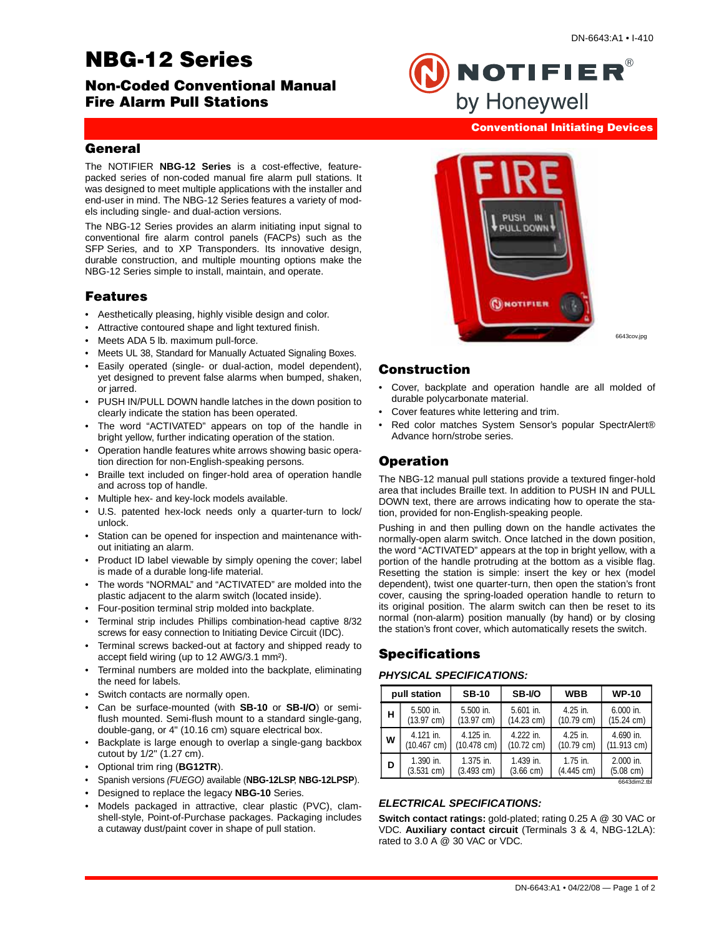# **NBG-12 Series**

**Conventional Initiating Devices**

**NOTIFIER®** 

by Honeywell

#### **General**

The NOTIFIER **NBG-12 Series** is a cost-effective, featurepacked series of non-coded manual fire alarm pull stations. It was designed to meet multiple applications with the installer and end-user in mind. The NBG-12 Series features a variety of models including single- and dual-action versions.

The NBG-12 Series provides an alarm initiating input signal to conventional fire alarm control panels (FACPs) such as the SFP Series, and to XP Transponders. Its innovative design, durable construction, and multiple mounting options make the NBG-12 Series simple to install, maintain, and operate.

#### **Features**

- Aesthetically pleasing, highly visible design and color.
- Attractive contoured shape and light textured finish.
- Meets ADA 5 lb. maximum pull-force.
- Meets UL 38, Standard for Manually Actuated Signaling Boxes.
- Easily operated (single- or dual-action, model dependent), yet designed to prevent false alarms when bumped, shaken, or jarred.
- PUSH IN/PULL DOWN handle latches in the down position to clearly indicate the station has been operated.
- The word "ACTIVATED" appears on top of the handle in bright yellow, further indicating operation of the station.
- Operation handle features white arrows showing basic operation direction for non-English-speaking persons.
- Braille text included on finger-hold area of operation handle and across top of handle.
- Multiple hex- and key-lock models available.
- U.S. patented hex-lock needs only a quarter-turn to lock/ unlock.
- Station can be opened for inspection and maintenance without initiating an alarm.
- Product ID label viewable by simply opening the cover; label is made of a durable long-life material.
- The words "NORMAL" and "ACTIVATED" are molded into the plastic adjacent to the alarm switch (located inside).
- Four-position terminal strip molded into backplate.
- Terminal strip includes Phillips combination-head captive 8/32 screws for easy connection to Initiating Device Circuit (IDC).
- Terminal screws backed-out at factory and shipped ready to accept field wiring (up to 12 AWG/3.1 mm²).
- Terminal numbers are molded into the backplate, eliminating the need for labels.
- Switch contacts are normally open.
- Can be surface-mounted (with **SB-10** or **SB-I/O**) or semiflush mounted. Semi-flush mount to a standard single-gang, double-gang, or 4" (10.16 cm) square electrical box.
- Backplate is large enough to overlap a single-gang backbox cutout by 1/2" (1.27 cm).
- Optional trim ring (**BG12TR**).
- Spanish versions *(FUEGO)* available (**NBG-12LSP**, **NBG-12LPSP**).
- Designed to replace the legacy **NBG-10** Series.
- Models packaged in attractive, clear plastic (PVC), clamshell-style, Point-of-Purchase packages. Packaging includes a cutaway dust/paint cover in shape of pull station.



6643cov.jpg

#### **Construction**

- Cover, backplate and operation handle are all molded of durable polycarbonate material.
- Cover features white lettering and trim.
- Red color matches System Sensor's popular SpectrAlert® Advance horn/strobe series.

# **Operation**

The NBG-12 manual pull stations provide a textured finger-hold area that includes Braille text. In addition to PUSH IN and PULL DOWN text, there are arrows indicating how to operate the station, provided for non-English-speaking people.

Pushing in and then pulling down on the handle activates the normally-open alarm switch. Once latched in the down position, the word "ACTIVATED" appears at the top in bright yellow, with a portion of the handle protruding at the bottom as a visible flag. Resetting the station is simple: insert the key or hex (model dependent), twist one quarter-turn, then open the station's front cover, causing the spring-loaded operation handle to return to its original position. The alarm switch can then be reset to its normal (non-alarm) position manually (by hand) or by closing the station's front cover, which automatically resets the switch.

# **Specifications**

#### *PHYSICAL SPECIFICATIONS:*

| pull station |                       | <b>SB-10</b>          | SB-I/O               | <b>WBB</b>           | <b>WP-10</b>          |
|--------------|-----------------------|-----------------------|----------------------|----------------------|-----------------------|
| н            | 5.500 in.             | 5.500 in.             | $5.601$ in.          | $4.25$ in.           | $6.000$ in.           |
|              | $(13.97 \text{ cm})$  | $(13.97 \text{ cm})$  | $(14.23 \text{ cm})$ | $(10.79 \text{ cm})$ | $(15.24 \text{ cm})$  |
| W            | 4.121 in.             | 4.125 in.             | 4.222 in.            | $4.25$ in.           | 4.690 in.             |
|              | $(10.467 \text{ cm})$ | $(10.478 \text{ cm})$ | $(10.72 \text{ cm})$ | $(10.79 \text{ cm})$ | $(11.913 \text{ cm})$ |
| D            | $1.390$ in.           | 1.375 in.             | 1.439 in.            | $1.75$ in.           | $2.000$ in.           |
|              | $(3.531 \text{ cm})$  | $(3.493 \text{ cm})$  | $(3.66 \text{ cm})$  | (4.445 cm)           | $(5.08 \text{ cm})$   |

6643dim2.tbl

#### *ELECTRICAL SPECIFICATIONS:*

**Switch contact ratings:** gold-plated; rating 0.25 A @ 30 VAC or VDC. **Auxiliary contact circuit** (Terminals 3 & 4, NBG-12LA): rated to 3.0 A @ 30 VAC or VDC.